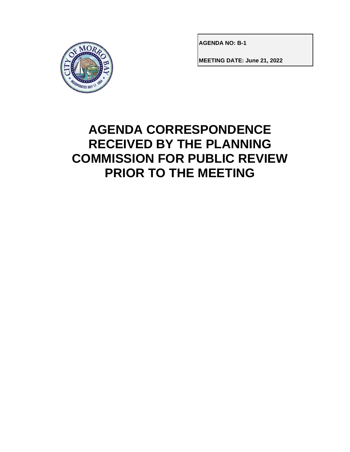

**AGENDA NO: B-1**

**MEETING DATE: June 21, 2022**

# **AGENDA CORRESPONDENCE RECEIVED BY THE PLANNING COMMISSION FOR PUBLIC REVIEW PRIOR TO THE MEETING**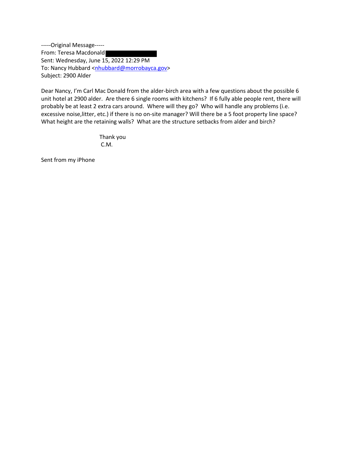-----Original Message----- From: Teresa Macdonald Sent: Wednesday, June 15, 2022 12:29 PM To: Nancy Hubbard <nhubbard@morrobayca.gov> Subject: 2900 Alder

Dear Nancy, I'm Carl Mac Donald from the alder-birch area with a few questions about the possible 6 unit hotel at 2900 alder. Are there 6 single rooms with kitchens? If 6 fully able people rent, there will probably be at least 2 extra cars around. Where will they go? Who will handle any problems (i.e. excessive noise,litter, etc.) if there is no on-site manager? Will there be a 5 foot property line space? What height are the retaining walls? What are the structure setbacks from alder and birch?

> Thank you C.M.

Sent from my iPhone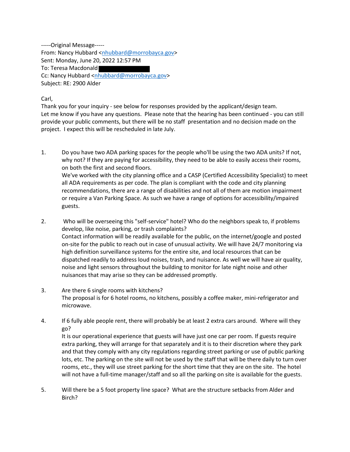-----Original Message----- From: Nancy Hubbard <nhubbard@morrobayca.gov> Sent: Monday, June 20, 2022 12:57 PM To: Teresa Macdonald Cc: Nancy Hubbard <nhubbard@morrobayca.gov> Subject: RE: 2900 Alder

Carl,

Thank you for your inquiry - see below for responses provided by the applicant/design team. Let me know if you have any questions. Please note that the hearing has been continued - you can still provide your public comments, but there will be no staff presentation and no decision made on the project. I expect this will be rescheduled in late July.

- 1. Do you have two ADA parking spaces for the people who'll be using the two ADA units? If not, why not? If they are paying for accessibility, they need to be able to easily access their rooms, on both the first and second floors. We've worked with the city planning office and a CASP (Certified Accessibility Specialist) to meet all ADA requirements as per code. The plan is compliant with the code and city planning recommendations, there are a range of disabilities and not all of them are motion impairment or require a Van Parking Space. As such we have a range of options for accessibility/impaired guests.
- 2. Who will be overseeing this "self-service" hotel? Who do the neighbors speak to, if problems develop, like noise, parking, or trash complaints? Contact information will be readily available for the public, on the internet/google and posted on-site for the public to reach out in case of unusual activity. We will have 24/7 monitoring via high definition surveillance systems for the entire site, and local resources that can be dispatched readily to address loud noises, trash, and nuisance. As well we will have air quality, noise and light sensors throughout the building to monitor for late night noise and other nuisances that may arise so they can be addressed promptly.
- 3. Are there 6 single rooms with kitchens? The proposal is for 6 hotel rooms, no kitchens, possibly a coffee maker, mini-refrigerator and microwave.
- 4. If 6 fully able people rent, there will probably be at least 2 extra cars around. Where will they go?

It is our operational experience that guests will have just one car per room. If guests require extra parking, they will arrange for that separately and it is to their discretion where they park and that they comply with any city regulations regarding street parking or use of public parking lots, etc. The parking on the site will not be used by the staff that will be there daily to turn over rooms, etc., they will use street parking for the short time that they are on the site. The hotel will not have a full-time manager/staff and so all the parking on site is available for the guests.

5. Will there be a 5 foot property line space? What are the structure setbacks from Alder and Birch?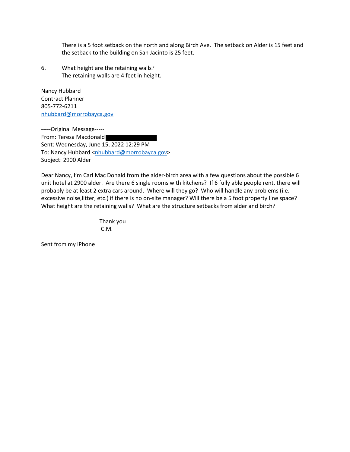There is a 5 foot setback on the north and along Birch Ave. The setback on Alder is 15 feet and the setback to the building on San Jacinto is 25 feet.

6. What height are the retaining walls? The retaining walls are 4 feet in height.

Nancy Hubbard Contract Planner 805-772-6211 nhubbard@morrobayca.gov

-----Original Message----- From: Teresa Macdonald Sent: Wednesday, June 15, 2022 12:29 PM To: Nancy Hubbard <nhubbard@morrobayca.gov> Subject: 2900 Alder

Dear Nancy, I'm Carl Mac Donald from the alder-birch area with a few questions about the possible 6 unit hotel at 2900 alder. Are there 6 single rooms with kitchens? If 6 fully able people rent, there will probably be at least 2 extra cars around. Where will they go? Who will handle any problems (i.e. excessive noise,litter, etc.) if there is no on-site manager? Will there be a 5 foot property line space? What height are the retaining walls? What are the structure setbacks from alder and birch?

> Thank you C.M.

Sent from my iPhone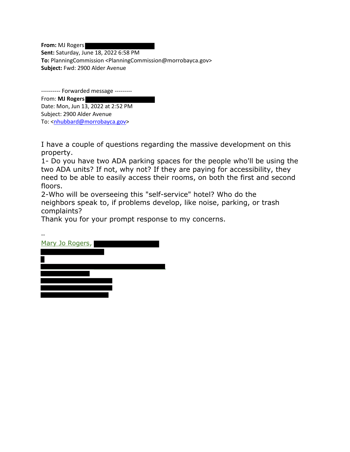**From:** MJ Rogers **Sent:** Saturday, June 18, 2022 6:58 PM **To:** PlanningCommission <PlanningCommission@morrobayca.gov> **Subject:** Fwd: 2900 Alder Avenue

---------- Forwarded message ---------

From: **MJ Rogers** Date: Mon, Jun 13, 2022 at 2:52 PM Subject: 2900 Alder Avenue To: <nhubbard@morrobayca.gov>

I have a couple of questions regarding the massive development on this property.

1- Do you have two ADA parking spaces for the people who'll be using the two ADA units? If not, why not? If they are paying for accessibility, they need to be able to easily access their rooms, on both the first and second floors.

2-Who will be overseeing this "self-service" hotel? Who do the neighbors speak to, if problems develop, like noise, parking, or trash complaints?

Thank you for your prompt response to my concerns.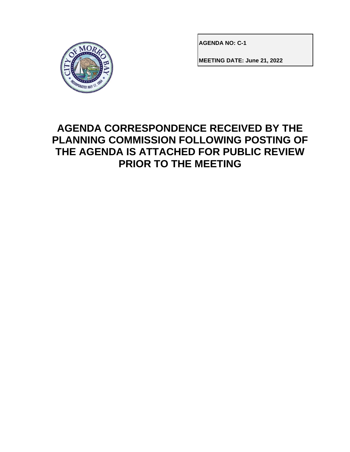

**AGENDA NO: C-1**

**MEETING DATE: June 21, 2022**

### **AGENDA CORRESPONDENCE RECEIVED BY THE PLANNING COMMISSION FOLLOWING POSTING OF THE AGENDA IS ATTACHED FOR PUBLIC REVIEW PRIOR TO THE MEETING**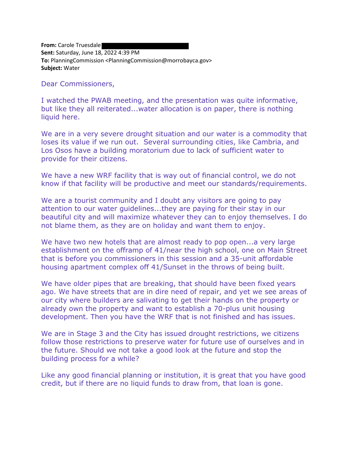**From:** Carole Truesdale **Sent:** Saturday, June 18, 2022 4:39 PM **To:** PlanningCommission <PlanningCommission@morrobayca.gov> **Subject:** Water

Dear Commissioners,

I watched the PWAB meeting, and the presentation was quite informative, but like they all reiterated...water allocation is on paper, there is nothing liquid here.

We are in a very severe drought situation and our water is a commodity that loses its value if we run out. Several surrounding cities, like Cambria, and Los Osos have a building moratorium due to lack of sufficient water to provide for their citizens.

We have a new WRF facility that is way out of financial control, we do not know if that facility will be productive and meet our standards/requirements.

We are a tourist community and I doubt any visitors are going to pay attention to our water guidelines...they are paying for their stay in our beautiful city and will maximize whatever they can to enjoy themselves. I do not blame them, as they are on holiday and want them to enjoy.

We have two new hotels that are almost ready to pop open...a very large establishment on the offramp of 41/near the high school, one on Main Street that is before you commissioners in this session and a 35-unit affordable housing apartment complex off 41/Sunset in the throws of being built.

We have older pipes that are breaking, that should have been fixed years ago. We have streets that are in dire need of repair, and yet we see areas of our city where builders are salivating to get their hands on the property or already own the property and want to establish a 70-plus unit housing development. Then you have the WRF that is not finished and has issues.

We are in Stage 3 and the City has issued drought restrictions, we citizens follow those restrictions to preserve water for future use of ourselves and in the future. Should we not take a good look at the future and stop the building process for a while?

Like any good financial planning or institution, it is great that you have good credit, but if there are no liquid funds to draw from, that loan is gone.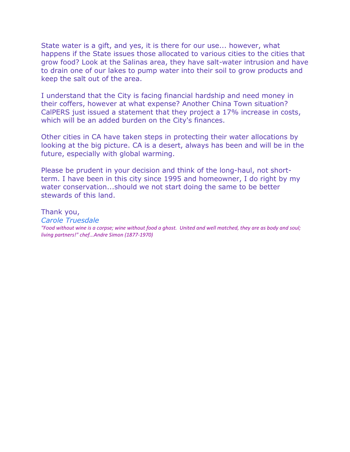State water is a gift, and yes, it is there for our use... however, what happens if the State issues those allocated to various cities to the cities that grow food? Look at the Salinas area, they have salt-water intrusion and have to drain one of our lakes to pump water into their soil to grow products and keep the salt out of the area.

I understand that the City is facing financial hardship and need money in their coffers, however at what expense? Another China Town situation? CalPERS just issued a statement that they project a 17% increase in costs, which will be an added burden on the City's finances.

Other cities in CA have taken steps in protecting their water allocations by looking at the big picture. CA is a desert, always has been and will be in the future, especially with global warming.

Please be prudent in your decision and think of the long-haul, not shortterm. I have been in this city since 1995 and homeowner, I do right by my water conservation...should we not start doing the same to be better stewards of this land.

Thank you, *Carole Truesdale "Food without wine is a corpse; wine without food a ghost. United and well matched, they are as body and soul; living partners!" chef...Andre Simon (1877-1970)*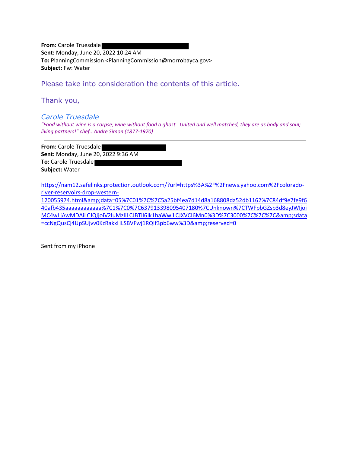**From:** Carole Truesdale **Sent:** Monday, June 20, 2022 10:24 AM **To:** PlanningCommission <PlanningCommission@morrobayca.gov> **Subject:** Fw: Water

Please take into consideration the contents of this article.

Thank you,

#### *Carole Truesdale*

*"Food without wine is a corpse; wine without food a ghost. United and well matched, they are as body and soul; living partners!" chef...Andre Simon (1877-1970)*

**From:** Carole Truesdale **Sent:** Monday, June 20, 2022 9:36 AM **To:** Carole Truesdale **Subject:** Water

https://nam12.safelinks.protection.outlook.com/?url=https%3A%2F%2Fnews.yahoo.com%2Fcoloradoriver-reservoirs-drop-western-

120055974.html&data=05%7C01%7C%7C5a25bf4ea7d14d8a168808da52db1162%7C84df9e7fe9f6 40afb435aaaaaaaaaaaa%7C1%7C0%7C637913398095407180%7CUnknown%7CTWFpbGZsb3d8eyJWIjoi MC4wLjAwMDAiLCJQIjoiV2luMzIiLCJBTiI6Ik1haWwiLCJXVCI6Mn0%3D%7C3000%7C%7C%7C&sdata =ccNgQusCj4UpSUjvv0KzRakxHLSBVFwj1RQIf3pb6ww%3D&reserved=0

Sent from my iPhone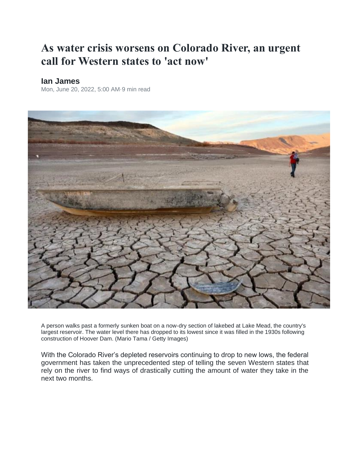## **As water crisis worsens on Colorado River, an urgent call for Western states to 'act now'**

#### **Ian James**

Mon, June 20, 2022, 5:00 AM·9 min read



A person walks past a formerly sunken boat on a now-dry section of lakebed at Lake Mead, the country's largest reservoir. The water level there has dropped to its lowest since it was filled in the 1930s following construction of Hoover Dam. (Mario Tama / Getty Images)

With the Colorado River's depleted reservoirs continuing to drop to new lows, the federal government has taken the unprecedented step of telling the seven Western states that rely on the river to find ways of drastically cutting the amount of water they take in the next two months.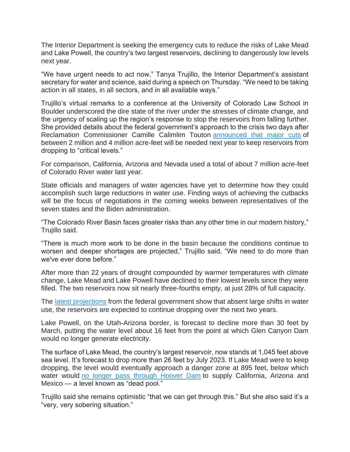The Interior Department is seeking the emergency cuts to reduce the risks of Lake Mead and Lake Powell, the country's two largest reservoirs, declining to dangerously low levels next year.

"We have urgent needs to act now," Tanya Trujillo, the Interior Department's assistant secretary for water and science, said during a speech on Thursday. "We need to be taking action in all states, in all sectors, and in all available ways."

Trujillo's virtual remarks to a conference at the University of Colorado Law School in Boulder underscored the dire state of the river under the stresses of climate change, and the urgency of scaling up the region's response to stop the reservoirs from falling further. She provided details about the federal government's approach to the crisis two days after Reclamation Commissioner Camille Calimlim Touton announced that major cuts of between 2 million and 4 million acre-feet will be needed next year to keep reservoirs from dropping to "critical levels."

For comparison, California, Arizona and Nevada used a total of about 7 million acre-feet of Colorado River water last year.

State officials and managers of water agencies have yet to determine how they could accomplish such large reductions in water use. Finding ways of achieving the cutbacks will be the focus of negotiations in the coming weeks between representatives of the seven states and the Biden administration.

"The Colorado River Basin faces greater risks than any other time in our modern history," Trujillo said.

"There is much more work to be done in the basin because the conditions continue to worsen and deeper shortages are projected," Trujillo said. "We need to do more than we've ever done before."

After more than 22 years of drought compounded by warmer temperatures with climate change, Lake Mead and Lake Powell have declined to their lowest levels since they were filled. The two reservoirs now sit nearly three-fourths empty, at just 28% of full capacity.

The latest projections from the federal government show that absent large shifts in water use, the reservoirs are expected to continue dropping over the next two years.

Lake Powell, on the Utah-Arizona border, is forecast to decline more than 30 feet by March, putting the water level about 16 feet from the point at which Glen Canyon Dam would no longer generate electricity.

The surface of Lake Mead, the country's largest reservoir, now stands at 1,045 feet above sea level. It's forecast to drop more than 26 feet by July 2023. If Lake Mead were to keep dropping, the level would eventually approach a danger zone at 895 feet, below which water would no longer pass through Hoover Dam to supply California, Arizona and Mexico — a level known as "dead pool."

Trujillo said she remains optimistic "that we can get through this." But she also said it's a "very, very sobering situation."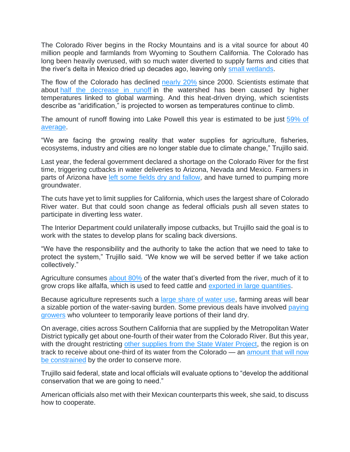The Colorado River begins in the Rocky Mountains and is a vital source for about 40 million people and farmlands from Wyoming to Southern California. The Colorado has long been heavily overused, with so much water diverted to supply farms and cities that the river's delta in Mexico dried up decades ago, leaving only small wetlands.

The flow of the Colorado has declined nearly 20% since 2000. Scientists estimate that about half the decrease in runoff in the watershed has been caused by higher temperatures linked to global warming. And this heat-driven drying, which scientists describe as "aridification," is projected to worsen as temperatures continue to climb.

The amount of runoff flowing into Lake Powell this year is estimated to be just 59% of average.

"We are facing the growing reality that water supplies for agriculture, fisheries, ecosystems, industry and cities are no longer stable due to climate change," Trujillo said.

Last year, the federal government declared a shortage on the Colorado River for the first time, triggering cutbacks in water deliveries to Arizona, Nevada and Mexico. Farmers in parts of Arizona have left some fields dry and fallow, and have turned to pumping more groundwater.

The cuts have yet to limit supplies for California, which uses the largest share of Colorado River water. But that could soon change as federal officials push all seven states to participate in diverting less water.

The Interior Department could unilaterally impose cutbacks, but Trujillo said the goal is to work with the states to develop plans for scaling back diversions.

"We have the responsibility and the authority to take the action that we need to take to protect the system," Trujillo said. "We know we will be served better if we take action collectively."

Agriculture consumes about 80% of the water that's diverted from the river, much of it to grow crops like alfalfa, which is used to feed cattle and exported in large quantities.

Because agriculture represents such a large share of water use, farming areas will bear a sizable portion of the water-saving burden. Some previous deals have involved paying growers who volunteer to temporarily leave portions of their land dry.

On average, cities across Southern California that are supplied by the Metropolitan Water District typically get about one-fourth of their water from the Colorado River. But this year, with the drought restricting other supplies from the State Water Project, the region is on track to receive about one-third of its water from the Colorado — an amount that will now be constrained by the order to conserve more.

Trujillo said federal, state and local officials will evaluate options to "develop the additional conservation that we are going to need."

American officials also met with their Mexican counterparts this week, she said, to discuss how to cooperate.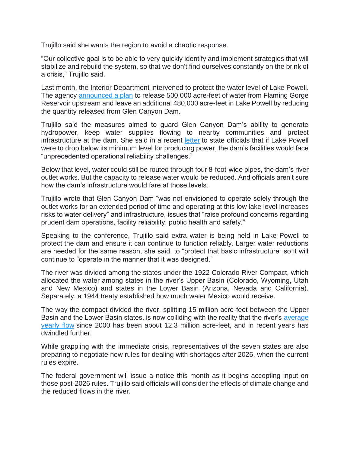Trujillo said she wants the region to avoid a chaotic response.

"Our collective goal is to be able to very quickly identify and implement strategies that will stabilize and rebuild the system, so that we don't find ourselves constantly on the brink of a crisis," Trujillo said.

Last month, the Interior Department intervened to protect the water level of Lake Powell. The agency announced a plan to release 500,000 acre-feet of water from Flaming Gorge Reservoir upstream and leave an additional 480,000 acre-feet in Lake Powell by reducing the quantity released from Glen Canyon Dam.

Trujillo said the measures aimed to guard Glen Canyon Dam's ability to generate hydropower, keep water supplies flowing to nearby communities and protect infrastructure at the dam. She said in a recent letter to state officials that if Lake Powell were to drop below its minimum level for producing power, the dam's facilities would face "unprecedented operational reliability challenges."

Below that level, water could still be routed through four 8-foot-wide pipes, the dam's river outlet works. But the capacity to release water would be reduced. And officials aren't sure how the dam's infrastructure would fare at those levels.

Trujillo wrote that Glen Canyon Dam "was not envisioned to operate solely through the outlet works for an extended period of time and operating at this low lake level increases risks to water delivery" and infrastructure, issues that "raise profound concerns regarding prudent dam operations, facility reliability, public health and safety."

Speaking to the conference, Trujillo said extra water is being held in Lake Powell to protect the dam and ensure it can continue to function reliably. Larger water reductions are needed for the same reason, she said, to "protect that basic infrastructure" so it will continue to "operate in the manner that it was designed."

The river was divided among the states under the 1922 Colorado River Compact, which allocated the water among states in the river's Upper Basin (Colorado, Wyoming, Utah and New Mexico) and states in the Lower Basin (Arizona, Nevada and California). Separately, a 1944 treaty established how much water Mexico would receive.

The way the compact divided the river, splitting 15 million acre-feet between the Upper Basin and the Lower Basin states, is now colliding with the reality that the river's average yearly flow since 2000 has been about 12.3 million acre-feet, and in recent years has dwindled further.

While grappling with the immediate crisis, representatives of the seven states are also preparing to negotiate new rules for dealing with shortages after 2026, when the current rules expire.

The federal government will issue a notice this month as it begins accepting input on those post-2026 rules. Trujillo said officials will consider the effects of climate change and the reduced flows in the river.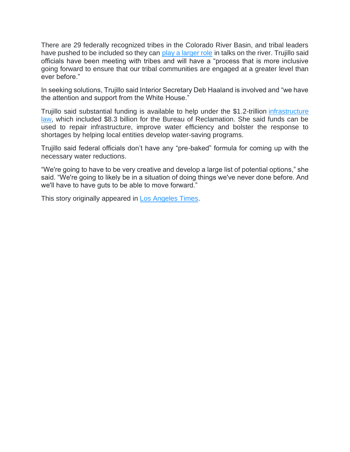There are 29 federally recognized tribes in the Colorado River Basin, and tribal leaders have pushed to be included so they can play a larger role in talks on the river. Trujillo said officials have been meeting with tribes and will have a "process that is more inclusive going forward to ensure that our tribal communities are engaged at a greater level than ever before."

In seeking solutions, Trujillo said Interior Secretary Deb Haaland is involved and "we have the attention and support from the White House."

Trujillo said substantial funding is available to help under the \$1.2-trillion infrastructure law, which included \$8.3 billion for the Bureau of Reclamation. She said funds can be used to repair infrastructure, improve water efficiency and bolster the response to shortages by helping local entities develop water-saving programs.

Trujillo said federal officials don't have any "pre-baked" formula for coming up with the necessary water reductions.

"We're going to have to be very creative and develop a large list of potential options," she said. "We're going to likely be in a situation of doing things we've never done before. And we'll have to have guts to be able to move forward."

This story originally appeared in **Los Angeles Times**.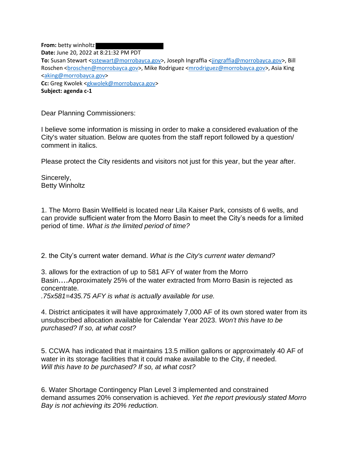**From:** betty winholtz **Date:** June 20, 2022 at 8:21:32 PM PDT **To:** Susan Stewart <sstewart@morrobayca.gov>, Joseph Ingraffia <jingraffia@morrobayca.gov>, Bill Roschen <broschen@morrobayca.gov>, Mike Rodriguez <mrodriguez@morrobayca.gov>, Asia King <aking@morrobayca.gov> **Cc:** Greg Kwolek <gkwolek@morrobayca.gov> **Subject: agenda c-1**

Dear Planning Commissioners:

I believe some information is missing in order to make a considered evaluation of the City's water situation. Below are quotes from the staff report followed by a question/ comment in italics.

Please protect the City residents and visitors not just for this year, but the year after.

Sincerely, Betty Winholtz

1. The Morro Basin Wellfield is located near Lila Kaiser Park, consists of 6 wells, and can provide sufficient water from the Morro Basin to meet the City's needs for a limited period of time. *What is the limited period of time?*

2. the City's current water demand. *What is the City's current water demand?*

3. allows for the extraction of up to 581 AFY of water from the Morro Basin....Approximately 25% of the water extracted from Morro Basin is rejected as concentrate.

*.75x581=435.75 AFY is what is actually available for use.*

4. District anticipates it will have approximately 7,000 AF of its own stored water from its unsubscribed allocation available for Calendar Year 2023. *Won't this have to be purchased? If so, at what cost?*

5. CCWA has indicated that it maintains 13.5 million gallons or approximately 40 AF of water in its storage facilities that it could make available to the City, if needed. *Will this have to be purchased? If so, at what cost?*

6. Water Shortage Contingency Plan Level 3 implemented and constrained demand assumes 20% conservation is achieved. *Yet the report previously stated Morro Bay is not achieving its 20% reduction.*